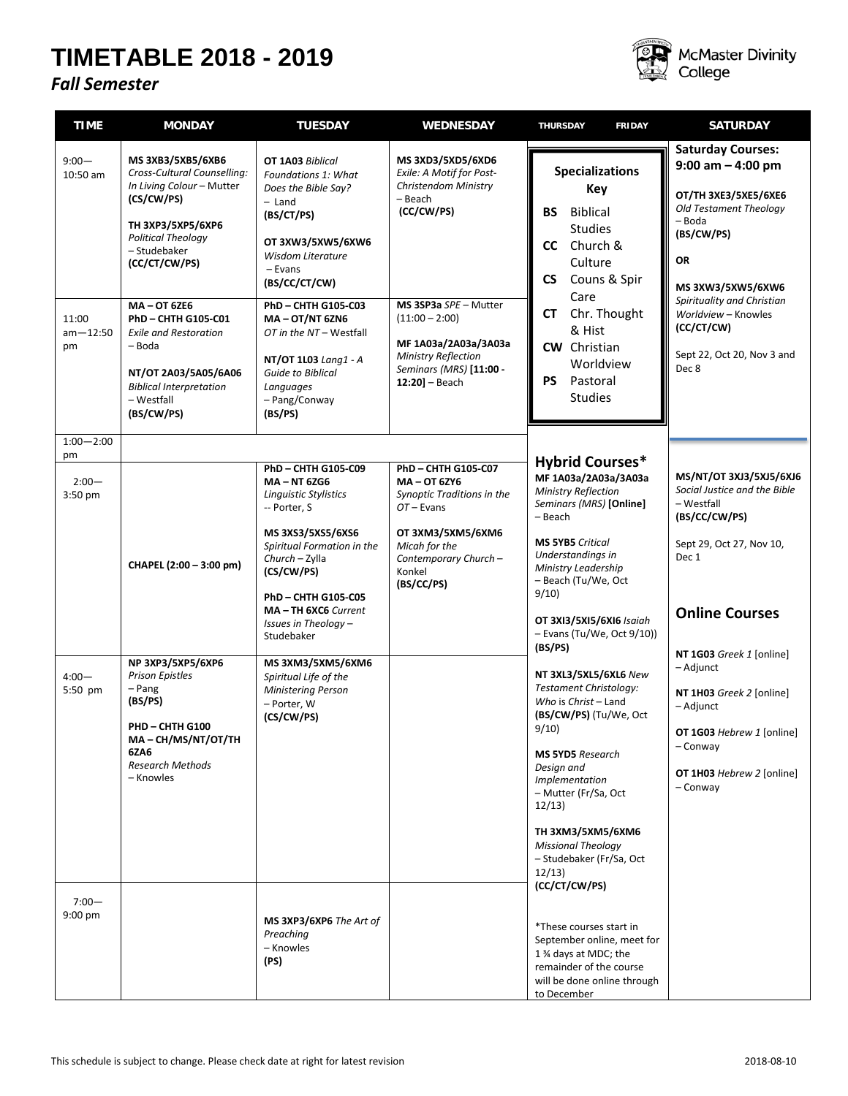## **TIMETABLE 2018 - 2019**

## *Fall Semester*



McMaster Divinity<br>College

| <b>TIME</b>                                           | <b>MONDAY</b>                                                                                                                                                                                                                                                                                                                                              | <b>TUESDAY</b>                                                                                                                                                                                                                                                                                                                   | <b>WEDNESDAY</b>                                                                                                                                                                                                                               | <b>THURSDAY</b><br><b>FRIDAY</b>                                                                                                                                                                                                                                                                        | <b>SATURDAY</b>                                                                                                                                                                                                                                                  |
|-------------------------------------------------------|------------------------------------------------------------------------------------------------------------------------------------------------------------------------------------------------------------------------------------------------------------------------------------------------------------------------------------------------------------|----------------------------------------------------------------------------------------------------------------------------------------------------------------------------------------------------------------------------------------------------------------------------------------------------------------------------------|------------------------------------------------------------------------------------------------------------------------------------------------------------------------------------------------------------------------------------------------|---------------------------------------------------------------------------------------------------------------------------------------------------------------------------------------------------------------------------------------------------------------------------------------------------------|------------------------------------------------------------------------------------------------------------------------------------------------------------------------------------------------------------------------------------------------------------------|
| $9:00 -$<br>$10:50$ am<br>11:00<br>$am - 12:50$<br>pm | MS 3XB3/5XB5/6XB6<br>Cross-Cultural Counselling:<br>In Living Colour - Mutter<br>(CS/CW/PS)<br>TH 3XP3/5XP5/6XP6<br><b>Political Theology</b><br>- Studebaker<br>(CC/CT/CW/PS)<br><b>MA-OT 6ZE6</b><br>PhD - CHTH G105-C01<br><b>Exile and Restoration</b><br>- Boda<br>NT/OT 2A03/5A05/6A06<br><b>Biblical Interpretation</b><br>- Westfall<br>(BS/CW/PS) | OT 1A03 Biblical<br>Foundations 1: What<br>Does the Bible Say?<br>- Land<br>(BS/CT/PS)<br>OT 3XW3/5XW5/6XW6<br><b>Wisdom Literature</b><br>$-$ Evans<br>(BS/CC/CT/CW)<br>PhD-CHTH G105-C03<br>$MA - OT/NT 6ZN6$<br>OT in the NT - Westfall<br>NT/OT 1L03 Lang1 - A<br>Guide to Biblical<br>Languages<br>- Pang/Conway<br>(BS/PS) | MS 3XD3/5XD5/6XD6<br>Exile: A Motif for Post-<br>Christendom Ministry<br>- Beach<br>(CC/CW/PS)<br>MS 3SP3a SPE - Mutter<br>$(11:00 - 2:00)$<br>MF 1A03a/2A03a/3A03a<br><b>Ministry Reflection</b><br>Seminars (MRS) [11:00 -<br>12:20] - Beach | <b>Specializations</b><br>Key<br><b>BS</b><br><b>Biblical</b><br><b>Studies</b><br>Church &<br><b>CC</b><br>Culture<br><b>CS</b><br>Couns & Spir<br>Care<br>Chr. Thought<br>СT<br>& Hist<br><b>CW</b> Christian<br>Worldview<br><b>PS</b><br>Pastoral<br><b>Studies</b>                                 | <b>Saturday Courses:</b><br>$9:00$ am $-$ 4:00 pm<br>OT/TH 3XE3/5XE5/6XE6<br>Old Testament Theology<br>- Boda<br>(BS/CW/PS)<br>OR<br>MS 3XW3/5XW5/6XW6<br>Spirituality and Christian<br>Worldview - Knowles<br>(CC/CT/CW)<br>Sept 22, Oct 20, Nov 3 and<br>Dec 8 |
| $1:00 - 2:00$                                         |                                                                                                                                                                                                                                                                                                                                                            |                                                                                                                                                                                                                                                                                                                                  |                                                                                                                                                                                                                                                |                                                                                                                                                                                                                                                                                                         |                                                                                                                                                                                                                                                                  |
| pm<br>$2:00 -$<br>$3:50$ pm                           | CHAPEL (2:00 - 3:00 pm)                                                                                                                                                                                                                                                                                                                                    | PhD-CHTH G105-C09<br><b>MA-NT 6ZG6</b><br><b>Linguistic Stylistics</b><br>-- Porter, S<br>MS 3XS3/5XS5/6XS6<br>Spiritual Formation in the<br>Church - Zylla<br>(CS/CW/PS)<br><b>PhD-CHTH G105-C05</b><br>MA-TH 6XC6 Current                                                                                                      | PhD - CHTH G105-C07<br>MA-0T 6ZY6<br>Synoptic Traditions in the<br>$OT$ – Evans<br>OT 3XM3/5XM5/6XM6<br>Micah for the<br>Contemporary Church-<br>Konkel<br>(BS/CC/PS)                                                                          | <b>Hybrid Courses*</b><br>MF 1A03a/2A03a/3A03a<br><b>Ministry Reflection</b><br>Seminars (MRS) [Online]<br>– Beach<br><b>MS 5YB5</b> Critical<br>Understandings in<br>Ministry Leadership<br>- Beach (Tu/We, Oct<br>9/10                                                                                | MS/NT/OT 3XJ3/5XJ5/6XJ6<br>Social Justice and the Bible<br>- Westfall<br>(BS/CC/CW/PS)<br>Sept 29, Oct 27, Nov 10,<br>Dec 1<br><b>Online Courses</b>                                                                                                             |
|                                                       |                                                                                                                                                                                                                                                                                                                                                            | Issues in Theology -<br>Studebaker                                                                                                                                                                                                                                                                                               |                                                                                                                                                                                                                                                | OT 3XI3/5XI5/6XI6 Isaiah<br>$-$ Evans (Tu/We, Oct 9/10))                                                                                                                                                                                                                                                |                                                                                                                                                                                                                                                                  |
| $4:00 -$<br>5:50 pm                                   | NP 3XP3/5XP5/6XP6<br><b>Prison Epistles</b><br>– Pang<br>(BS/PS)<br>PHD-CHTH G100<br>MA-CH/MS/NT/OT/TH<br>6ZA6<br><b>Research Methods</b><br>- Knowles                                                                                                                                                                                                     | MS 3XM3/5XM5/6XM6<br>Spiritual Life of the<br>Ministering Person<br>- Porter, W<br>(CS/CW/PS)                                                                                                                                                                                                                                    |                                                                                                                                                                                                                                                | (BS/PS)<br>NT 3XL3/5XL5/6XL6 New<br>Testament Christology:<br>Who is Christ - Land<br>(BS/CW/PS) (Tu/We, Oct<br>9/10<br><b>MS 5YD5</b> Research<br>Design and<br>Implementation<br>- Mutter (Fr/Sa, Oct<br>12/13<br>TH 3XM3/5XM5/6XM6<br><b>Missional Theology</b><br>- Studebaker (Fr/Sa, Oct<br>12/13 | NT 1G03 Greek 1 [online]<br>- Adjunct<br>NT 1H03 Greek 2 [online]<br>– Adjunct<br>OT 1G03 Hebrew 1 [online]<br>- Conway<br>OT 1H03 Hebrew 2 [online]<br>- Conway                                                                                                 |
| $7:00 -$<br>$9:00$ pm                                 |                                                                                                                                                                                                                                                                                                                                                            | MS 3XP3/6XP6 The Art of<br>Preaching<br>– Knowles<br>(PS)                                                                                                                                                                                                                                                                        |                                                                                                                                                                                                                                                | (CC/CT/CW/PS)<br>*These courses start in<br>September online, meet for<br>1 % days at MDC; the<br>remainder of the course<br>will be done online through<br>to December                                                                                                                                 |                                                                                                                                                                                                                                                                  |